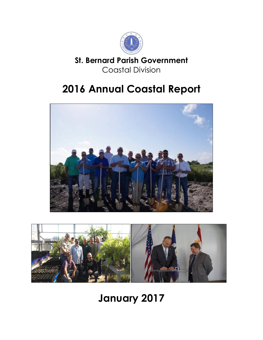

### **St. Bernard Parish Government** Coastal Division

# **2016 Annual Coastal Report**





# **January 2017**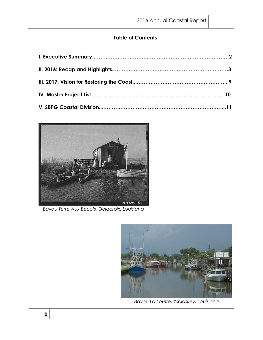#### **Table of Contents**



 *Bayou Terre Aux Beoufs, Delacroix, Louisiana*



 *Bayou La Loutre, Yscloskey, Louisiana*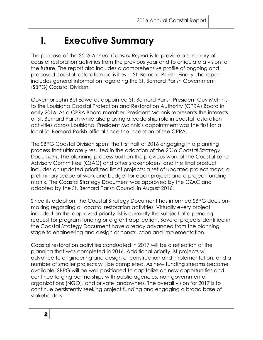## **I. Executive Summary**

The purpose of the *2016 Annual Coastal Report* is to provide a summary of coastal restoration activities from the previous year and to articulate a vision for the future. The report also includes a comprehensive profile of ongoing and proposed coastal restoration activities in St. Bernard Parish. Finally, the report includes general information regarding the St. Bernard Parish Government (SBPG) Coastal Division.

Governor John Bel Edwards appointed St. Bernard Parish President Guy McInnis to the Louisiana Coastal Protection and Restoration Authority (CPRA) Board in early 2016. As a CPRA Board member, President McInnis represents the interests of St. Bernard Parish while also playing a leadership role in coastal restoration activities across Louisiana. President McInnis's appointment was the first for a local St. Bernard Parish official since the inception of the CPRA.

The SBPG Coastal Division spent the first half of 2016 engaging in a planning process that ultimately resulted in the adoption of the *2016 Coastal Strategy Document*. The planning process built on the previous work of the Coastal Zone Advisory Committee (CZAC) and other stakeholders, and the final product includes an updated prioritized list of projects; a set of updated project maps; a preliminary scope of work and budget for each project; and a project funding matrix. The Coastal Strategy Document was approved by the CZAC and adopted by the St. Bernard Parish Council in August 2016.

Since its adoption, the Coastal Strategy Document has informed SBPG decisionmaking regarding all coastal restoration activities. Virtually every project included on the approved priority list is currently the subject of a pending request for program funding or a grant application. Several projects identified in the Coastal Strategy Document have already advanced from the planning stage to engineering and design or construction and implementation.

Coastal restoration activities conducted in 2017 will be a reflection of the planning that was completed in 2016. Additional priority list projects will advance to engineering and design or construction and implementation, and a number of smaller projects will be completed. As new funding streams become available, SBPG will be well-positioned to capitalize on new opportunities and continue forging partnerships with public agencies, non-governmental organizations (NGO), and private landowners. The overall vision for 2017 is to continue persistently seeking project funding and engaging a broad base of stakeholders.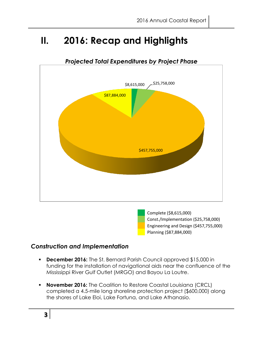### **II. 2016: Recap and Highlights**



#### *Projected Total Expenditures by Project Phase*

#### *Construction and Implementation*

 **December 2016:** The St. Bernard Parish Council approved \$15,000 in funding for the installation of navigational aids near the confluence of the Mississippi River Gulf Outlet (MRGO) and Bayou La Loutre.

Planning (\$87,884,000)

**November 2016:** The Coalition to Restore Coastal Louisiana (CRCL) completed a 4.5-mile long shoreline protection project (\$600,000) along the shores of Lake Eloi, Lake Fortuna, and Lake Athanasio.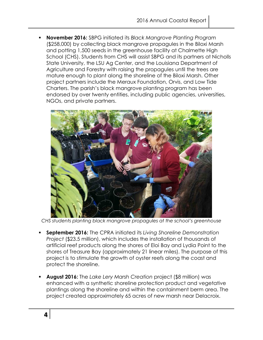**November 2016:** SBPG initiated its *Black Mangrove Planting Program* (\$258,000) by collecting black mangrove propagules in the Biloxi Marsh and potting 1,500 seeds in the greenhouse facility at Chalmette High School (CHS). Students from CHS will assist SBPG and its partners at Nicholls State University, the LSU Ag Center, and the Louisiana Department of Agriculture and Forestry with raising the propagules until the trees are mature enough to plant along the shoreline of the Biloxi Marsh. Other project partners include the Meraux Foundation, Orvis, and Low Tide Charters. The parish's black mangrove planting program has been endorsed by over twenty entities, including public agencies, universities, NGOs, and private partners.



*CHS students planting black mangrove propagules at the school's greenhouse*

- **September 2016:** The CPRA initiated its *Living Shoreline Demonstration Project* (\$23.5 million), which includes the installation of thousands of artificial reef products along the shores of Eloi Bay and Lydia Point to the shores of Treasure Bay (approximately 21 linear miles). The purpose of this project is to stimulate the growth of oyster reefs along the coast and protect the shoreline.
- **August 2016:** The *Lake Lery Marsh Creation* project (\$8 million) was enhanced with a synthetic shoreline protection product and vegetative plantings along the shoreline and within the containment berm area. The project created approximately 65 acres of new marsh near Delacroix.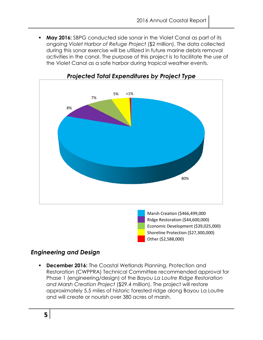**May 2016:** SBPG conducted side sonar in the Violet Canal as part of its ongoing *Violet Harbor of Refuge Project* (\$2 million). The data collected during this sonar exercise will be utilized in future marine debris removal activities in the canal. The purpose of this project is to facilitate the use of the Violet Canal as a safe harbor during tropical weather events.



#### *Projected Total Expenditures by Project Type*

Ridge Restoration (\$44,600,000) Economic Development (\$39,025,000) Shoreline Protection (\$27,300,000) Other (\$2,588,000)

#### *Engineering and Design*

**December 2016:** The Coastal Wetlands Planning, Protection and Restoration (CWPPRA) Technical Committee recommended approval for Phase 1 (engineering/design) of the *Bayou La Loutre Ridge Restoration and Marsh Creation Project* (\$29.4 million). The project will restore approximately 5.5 miles of historic forested ridge along Bayou La Loutre and will create or nourish over 380 acres of marsh.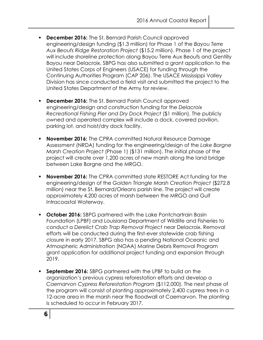- **December 2016:** The St. Bernard Parish Council approved engineering/design funding (\$1.3 million) for Phase 1 of the *Bayou Terre Aux Beoufs Ridge Restoration Project* (\$15.2 million). Phase 1 of the project will include shoreline protection along Bayou Terre Aux Beoufs and Gentilly Bayou near Delacroix. SBPG has also submitted a grant application to the United States Corps of Engineers (USACE) for funding through the Continuing Authorities Program (CAP 206). The USACE Mississippi Valley Division has since conducted a field visit and submitted the project to the United States Department of the Army for review.
- **December 2016:** The St. Bernard Parish Council approved engineering/design and construction funding for the *Delacroix Recreational Fishing Pier and Dry Dock Project* (\$1 million). The publicly owned and operated complex will include a dock, covered pavilion, parking lot, and hoist/dry dock facility.
- **November 2016:** The CPRA committed Natural Resource Damage Assessment (NRDA) funding for the engineering/design of the *Lake Borgne Marsh Creation Project* (Phase 1) (\$131 million). The initial phase of the project will create over 1,200 acres of new marsh along the land bridge between Lake Borgne and the MRGO.
- **November 2016:** The CPRA committed state RESTORE Act funding for the engineering/design of the *Golden Triangle Marsh Creation Project* (\$272.8 million) near the St. Bernard/Orleans parish line. The project will create approximately 4,200 acres of marsh between the MRGO and Gulf Intracoastal Waterway.
- **October 2016:** SBPG partnered with the Lake Pontchartrain Basin Foundation (LPBF) and Louisiana Department of Wildlife and Fisheries to conduct a *Derelict Crab Trap Removal Project* near Delacroix. Removal efforts will be conducted during the first-ever statewide crab fishing closure in early 2017. SBPG also has a pending National Oceanic and Atmospheric Administration (NOAA) Marine Debris Removal Program grant application for additional project funding and expansion through 2019.
- **September 2016:** SBPG partnered with the LPBF to build on the organization's previous cypress reforestation efforts and develop a *Caernarvon Cypress Reforestation Program* (\$112,000). The next phase of the program will consist of planting approximately 2,400 cypress trees in a 12-acre area in the marsh near the floodwall at Caernarvon. The planting is scheduled to occur in February 2017.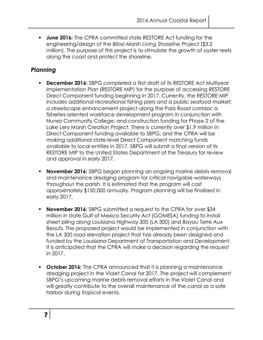**June 2016:** The CPRA committed state RESTORE Act funding for the engineering/design of the *Biloxi Marsh Living Shoreline Project* (\$3.2 million). The purpose of this project is to stimulate the growth of oyster reefs along the coast and protect the shoreline.

#### *Planning*

- **December 2016:** SBPG completed a first draft of its RESTORE Act Multiyear Implementation Plan (RESTORE MIP) for the purpose of accessing RESTORE Direct Component funding beginning in 2017. Currently, the RESTORE MIP includes additional recreational fishing piers and a public seafood market; a streetscape enhancement project along the Paris Road corridor; a fisheries-oriented workforce development program in conjunction with Nunez Community College; and construction funding for Phase 2 of the Lake Lery Marsh Creation Project. There is currently over \$1.9 million in Direct Component funding available to SBPG, and the CPRA will be making additional state-level Direct Component matching funds available to local entities in 2017. SBPG will submit a final version of its RESTORE MIP to the United States Department of the Treasury for review and approval in early 2017.
- **November 2016:** SBPG began planning an ongoing marine debris removal and maintenance dredging program for critical navigable waterways throughout the parish. It is estimated that the program will cost approximately \$150,000 annually. Program planning will be finalized in early 2017.
- **November 2016:** SBPG submitted a request to the CPRA for over \$34 million in state Gulf of Mexico Security Act (GOMESA) funding to install sheet piling along Louisiana Highway 300 (LA 300) and Bayou Terre Aux Beoufs. The proposed project would be implemented in conjunction with the LA 300 road elevation project that has already been designed and funded by the Louisiana Department of Transportation and Development. It is anticipated that the CPRA will make a decision regarding the request in 2017.
- **October 2016:** The CPRA announced that it is planning a maintenance dredging project in the Violet Canal for 2017. The project will complement SBPG's upcoming marine debris removal efforts in the Violet Canal and will greatly contribute to the overall maintenance of the canal as a safe harbor during tropical events.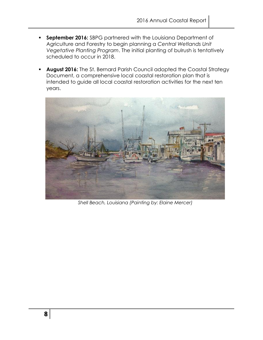- **September 2016:** SBPG partnered with the Louisiana Department of Agriculture and Forestry to begin planning a *Central Wetlands Unit Vegetative Planting Program*. The initial planting of bulrush is tentatively scheduled to occur in 2018.
- August 2016: The St. Bernard Parish Council adopted the Coastal Strategy Document, a comprehensive local coastal restoration plan that is intended to guide all local coastal restoration activities for the next ten years.



*Shell Beach, Louisiana (Painting by: Elaine Mercer)*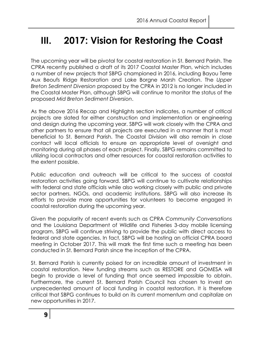### **III. 2017: Vision for Restoring the Coast**

The upcoming year will be pivotal for coastal restoration in St. Bernard Parish. The CPRA recently published a draft of its 2017 Coastal Master Plan, which includes a number of new projects that SBPG championed in 2016, including Bayou Terre Aux Beoufs Ridge Restoration and Lake Borgne Marsh Creation. The *Upper Breton Sediment Diversion* proposed by the CPRA in 2012 is no longer included in the Coastal Master Plan, although SBPG will continue to monitor the status of the proposed *Mid Breton Sediment Diversion*.

As the above 2016 Recap and Highlights section indicates, a number of critical projects are slated for either construction and implementation or engineering and design during the upcoming year. SBPG will work closely with the CPRA and other partners to ensure that all projects are executed in a manner that is most beneficial to St. Bernard Parish. The Coastal Division will also remain in close contact will local officials to ensure an appropriate level of oversight and monitoring during all phases of each project. Finally, SBPG remains committed to utilizing local contractors and other resources for coastal restoration activities to the extent possible.

Public education and outreach will be critical to the success of coastal restoration activities going forward. SBPG will continue to cultivate relationships with federal and state officials while also working closely with public and private sector partners, NGOs, and academic institutions. SBPG will also increase its efforts to provide more opportunities for volunteers to become engaged in coastal restoration during the upcoming year.

Given the popularity of recent events such as CPRA *Community Conversations*  and the Louisiana Department of Wildlife and Fisheries 3-day mobile licensing program, SBPG will continue striving to provide the public with direct access to federal and state agencies. In fact, SBPG will be hosting an official CPRA board meeting in October 2017. This will mark the first time such a meeting has been conducted in St. Bernard Parish since the inception of the CPRA.

St. Bernard Parish is currently poised for an incredible amount of investment in coastal restoration. New funding streams such as RESTORE and GOMESA will begin to provide a level of funding that once seemed impossible to obtain. Furthermore, the current St. Bernard Parish Council has chosen to invest an unprecedented amount of local funding in coastal restoration. It is therefore critical that SBPG continues to build on its current momentum and capitalize on new opportunities in 2017.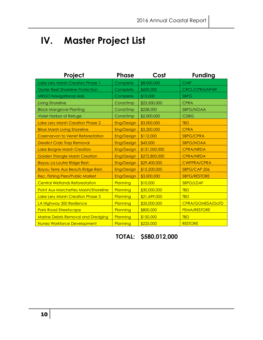## **IV. Master Project List**

| Project                                     | <b>Phase</b>      | Cost          | <b>Funding</b>        |
|---------------------------------------------|-------------------|---------------|-----------------------|
| Lake Lery Marsh Creation Phase 1            | Complete          | \$8,000,000   | <b>CIAP</b>           |
| <b>Oyster Reef Shoreline Protection</b>     | Complete          | \$600,000     | <b>CRCL/CPRA/NFWF</b> |
| <b>MRGO Navigational Aids</b>               | Complete          | \$15,000      | <b>SBPG</b>           |
| <b>Living Shoreline</b>                     | Const/Imp         | \$23,500,000  | <b>CPRA</b>           |
| <b>Black Mangrove Planting</b>              | Const/Imp         | \$258,000     | SBPG/NOAA             |
| <b>Violet Harbor of Refuge</b>              | Const/Imp         | \$2,000,000   | <b>CDBG</b>           |
| Lake Lery Marsh Creation Phase 2            | <b>Eng/Design</b> | \$3,000,000   | <b>TBD</b>            |
| <b>Biloxi Marsh Living Shoreline</b>        | Eng/Design        | \$3,200,000   | <b>CPRA</b>           |
| Caernarvon to Verret Reforestation          | Eng/Design        | \$112,000     | <b>SBPG/CPRA</b>      |
| <b>Derelict Crab Trap Removal</b>           | Eng/Design        | \$43,000      | <b>SBPG/NOAA</b>      |
| Lake Borgne Marsh Creation                  | Eng/Design        | \$131,000,000 | <b>CPRA/NRDA</b>      |
| <b>Golden Triangle Marsh Creation</b>       | Eng/Design        | \$272,800,000 | <b>CPRA/NRDA</b>      |
| Bayou La Loutre Ridge Rest.                 | Eng/Design        | \$29,400,000  | <b>CWPPRA/CPRA</b>    |
| Bayou Terre Aux Beoufs Ridge Rest.          | <b>Eng/Design</b> | \$15,200,000  | SBPG/CAP 206          |
| Rec. Fishing Piers/Public Market            | Eng/Design        | \$3,000,000   | <b>SBPG/RESTORE</b>   |
| <b>Central Wetlands Reforestation</b>       | Planning          | \$10,000      | <b>SBPG/LDAF</b>      |
| <b>Point Aux Marchettes Marsh/Shoreline</b> | Planning          | \$30,000,000  | <b>TBD</b>            |
| Lake Lery Marsh Creation Phase 3            | Planning          | \$21,699,000  | <b>TBD</b>            |
| LA Highway 300 Resilience                   | Planning          | \$35,000,000  | CPRA/GOMESA/DoTD      |
| <b>Paris Road Streetscape</b>               | Planning          | \$800,000     | <b>FEMA/RESTORE</b>   |
| <b>Marine Debris Removal and Dredging</b>   | Planning          | \$150,000     | <b>TBD</b>            |
| <b>Nunez Workforce Development</b>          | Planning          | \$225,000     | <b>RESTORE</b>        |

**TOTAL: \$580,012,000**